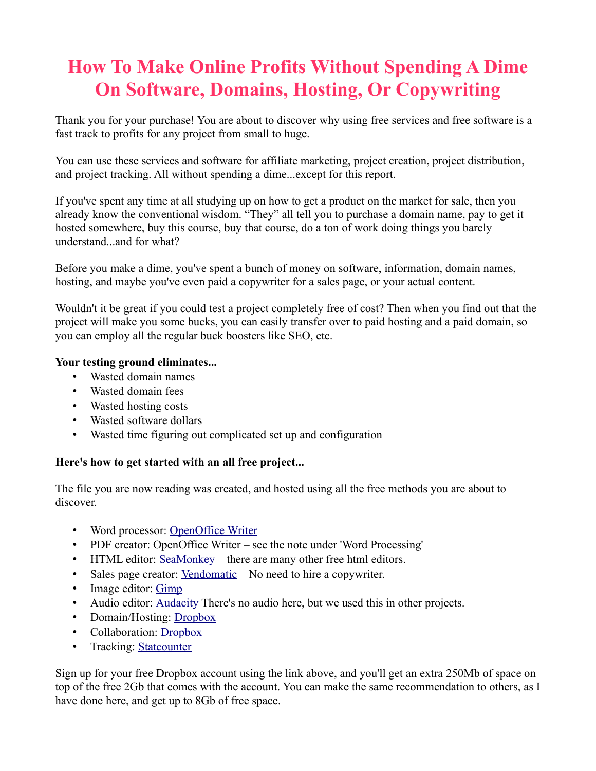# **How To Make Online Profits Without Spending A Dime On Software, Domains, Hosting, Or Copywriting**

Thank you for your purchase! You are about to discover why using free services and free software is a fast track to profits for any project from small to huge.

You can use these services and software for affiliate marketing, project creation, project distribution, and project tracking. All without spending a dime...except for this report.

If you've spent any time at all studying up on how to get a product on the market for sale, then you already know the conventional wisdom. "They" all tell you to purchase a domain name, pay to get it hosted somewhere, buy this course, buy that course, do a ton of work doing things you barely understand...and for what?

Before you make a dime, you've spent a bunch of money on software, information, domain names, hosting, and maybe you've even paid a copywriter for a sales page, or your actual content.

Wouldn't it be great if you could test a project completely free of cost? Then when you find out that the project will make you some bucks, you can easily transfer over to paid hosting and a paid domain, so you can employ all the regular buck boosters like SEO, etc.

# **Your testing ground eliminates...**

- Wasted domain names
- Wasted domain fees
- Wasted hosting costs
- Wasted software dollars
- Wasted time figuring out complicated set up and configuration

## **Here's how to get started with an all free project...**

The file you are now reading was created, and hosted using all the free methods you are about to discover.

- Word processor: [OpenOffice Writer](http://www.openoffice.org/)
- PDF creator: OpenOffice Writer see the note under 'Word Processing'
- HTML editor: [SeaMonkey](http://www.seamonkey-project.org/releases/)  there are many other free html editors.
- Sales page creator: [Vendomatic](http://bmyers.com/vendomatic/)  No need to hire a copywriter.
- Image editor: [Gimp](http://www.gimp.org/)
- Audio editor: [Audacity](http://audacity.sourceforge.net/) There's no audio here, but we used this in other projects.
- Domain/Hosting: [Dropbox](http://db.tt/iOvHJlDf)
- Collaboration: [Dropbox](http://db.tt/iOvHJlDf)
- Tracking: [Statcounter](http://statcounter.com/)

Sign up for your free Dropbox account using the link above, and you'll get an extra 250Mb of space on top of the free 2Gb that comes with the account. You can make the same recommendation to others, as I have done here, and get up to 8Gb of free space.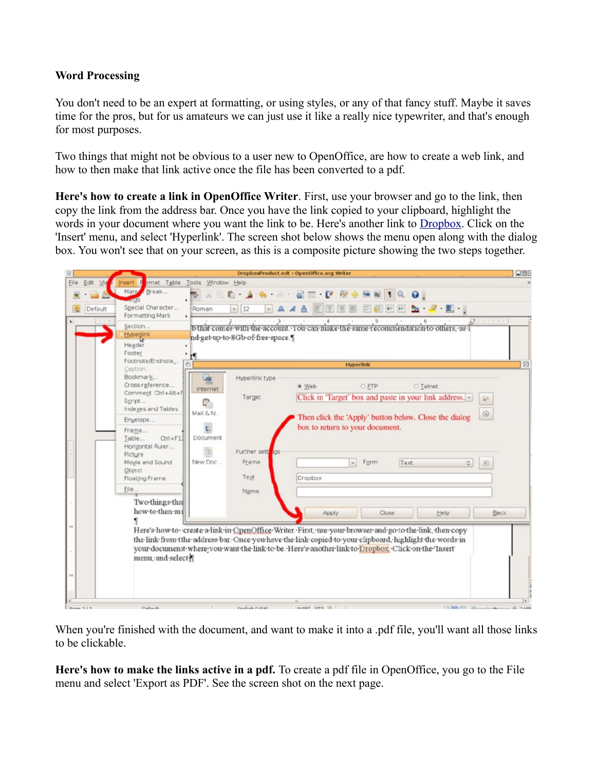## **Word Processing**

You don't need to be an expert at formatting, or using styles, or any of that fancy stuff. Maybe it saves time for the pros, but for us amateurs we can just use it like a really nice typewriter, and that's enough for most purposes.

Two things that might not be obvious to a user new to OpenOffice, are how to create a web link, and how to then make that link active once the file has been converted to a pdf.

**Here's how to create a link in OpenOffice Writer**. First, use your browser and go to the link, then copy the link from the address bar. Once you have the link copied to your clipboard, highlight the words in your document where you want the link to be. Here's another link to [Dropbox.](http://db.tt/iOvHJlDf) Click on the 'Insert' menu, and select 'Hyperlink'. The screen shot below shows the menu open along with the dialog box. You won't see that on your screen, as this is a composite picture showing the two steps together.



When you're finished with the document, and want to make it into a .pdf file, you'll want all those links to be clickable.

**Here's how to make the links active in a pdf.** To create a pdf file in OpenOffice, you go to the File menu and select 'Export as PDF'. See the screen shot on the next page.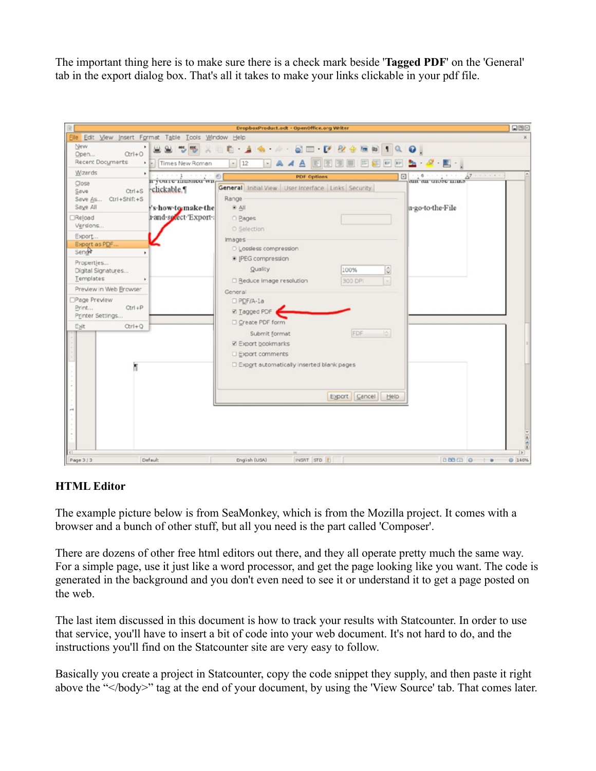The important thing here is to make sure there is a check mark beside '**Tagged PDF**' on the 'General' tab in the export dialog box. That's all it takes to make your links clickable in your pdf file.

|                                                                                                                                                                                                                                                                                                            |                                                                                                          | DropboxProduct.oclt - OpenOffice.org Writer                                                                                                                                                                                                                                                                                                                                                                                                                                                                                                                       | 000           |
|------------------------------------------------------------------------------------------------------------------------------------------------------------------------------------------------------------------------------------------------------------------------------------------------------------|----------------------------------------------------------------------------------------------------------|-------------------------------------------------------------------------------------------------------------------------------------------------------------------------------------------------------------------------------------------------------------------------------------------------------------------------------------------------------------------------------------------------------------------------------------------------------------------------------------------------------------------------------------------------------------------|---------------|
| File Edit View Insert Format Table Tools Window Help                                                                                                                                                                                                                                                       |                                                                                                          |                                                                                                                                                                                                                                                                                                                                                                                                                                                                                                                                                                   | $\times$      |
| New<br>$Qr1+Q$<br>Open<br>Recent Documents                                                                                                                                                                                                                                                                 | I Times New Roman                                                                                        | <b>0 1 4 2 3 5 7 2 4 5 6 1 9 0</b><br>$-12$<br>$\frac{1}{2}$ $\frac{1}{2}$<br><b>SEE OF PP</b><br>$-AA$                                                                                                                                                                                                                                                                                                                                                                                                                                                           |               |
| Wizards<br>٠                                                                                                                                                                                                                                                                                               |                                                                                                          |                                                                                                                                                                                                                                                                                                                                                                                                                                                                                                                                                                   |               |
| Close.<br>$Ctrl + S$<br>Save<br>$Ctrl + Shift + S$<br>Save As<br>Saye All<br>Reload<br>Versions<br>Export<br>Export as PDF.<br>Send <sub>e</sub><br>Properties<br>Digital Signatures<br>Templates<br>Preview in Web Browser<br>Page Preview<br>$Ctrl + P$<br>Print<br>Printer Settings<br>Exit<br>$Qrrl+Q$ | $-1 - - - - - - 0$<br>II you're mushed with<br>rclickable.<br>'s how to make the<br>1-and-select Export- | $87 + 11 + 11$<br><b>PDF Options</b><br>⊠<br>$-16$<br>am an unvec mass<br><b>General</b> Initial View User Interface Links Security<br>Range<br>u-go-to-the-File<br>$8$ All<br>O Pages<br>O Selection<br>Images<br>O Lossless compression<br><sup>8</sup> IPEG compression<br>Quality<br>€<br>100%<br>□ Reduce image resolution<br>300 DP<br>General<br>D PDF/A-1a<br><b>☑ Tagged PDF</b><br>Create PDF form<br>FDF 10<br>Submit format<br><b>Z</b> Export bookmarks<br><b>Export comments</b><br>Export automatically inserted blank pages<br>Export Cancel Help |               |
|                                                                                                                                                                                                                                                                                                            |                                                                                                          |                                                                                                                                                                                                                                                                                                                                                                                                                                                                                                                                                                   | $\frac{1}{2}$ |
| Page 3/3                                                                                                                                                                                                                                                                                                   | Default                                                                                                  | INSRT STD 1<br><b>DBCD 0 10</b><br>English (USA)                                                                                                                                                                                                                                                                                                                                                                                                                                                                                                                  | <b>@ 140%</b> |

## **HTML Editor**

The example picture below is from SeaMonkey, which is from the Mozilla project. It comes with a browser and a bunch of other stuff, but all you need is the part called 'Composer'.

There are dozens of other free html editors out there, and they all operate pretty much the same way. For a simple page, use it just like a word processor, and get the page looking like you want. The code is generated in the background and you don't even need to see it or understand it to get a page posted on the web.

The last item discussed in this document is how to track your results with Statcounter. In order to use that service, you'll have to insert a bit of code into your web document. It's not hard to do, and the instructions you'll find on the Statcounter site are very easy to follow.

Basically you create a project in Statcounter, copy the code snippet they supply, and then paste it right above the "</body>" tag at the end of your document, by using the 'View Source' tab. That comes later.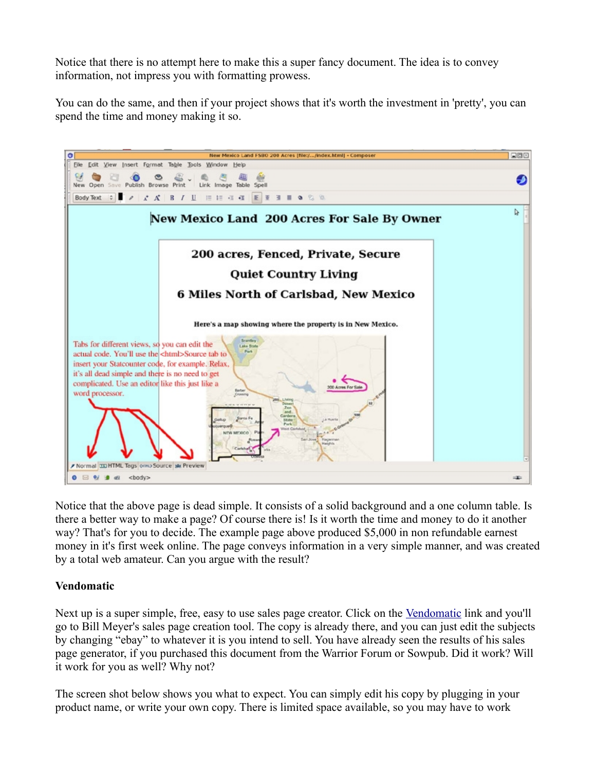Notice that there is no attempt here to make this a super fancy document. The idea is to convey information, not impress you with formatting prowess.

You can do the same, and then if your project shows that it's worth the investment in 'pretty', you can spend the time and money making it so.



Notice that the above page is dead simple. It consists of a solid background and a one column table. Is there a better way to make a page? Of course there is! Is it worth the time and money to do it another way? That's for you to decide. The example page above produced \$5,000 in non refundable earnest money in it's first week online. The page conveys information in a very simple manner, and was created by a total web amateur. Can you argue with the result?

## **Vendomatic**

Next up is a super simple, free, easy to use sales page creator. Click on the [Vendomatic](http://bmyers.com/vendomatic/) link and you'll go to Bill Meyer's sales page creation tool. The copy is already there, and you can just edit the subjects by changing "ebay" to whatever it is you intend to sell. You have already seen the results of his sales page generator, if you purchased this document from the Warrior Forum or Sowpub. Did it work? Will it work for you as well? Why not?

The screen shot below shows you what to expect. You can simply edit his copy by plugging in your product name, or write your own copy. There is limited space available, so you may have to work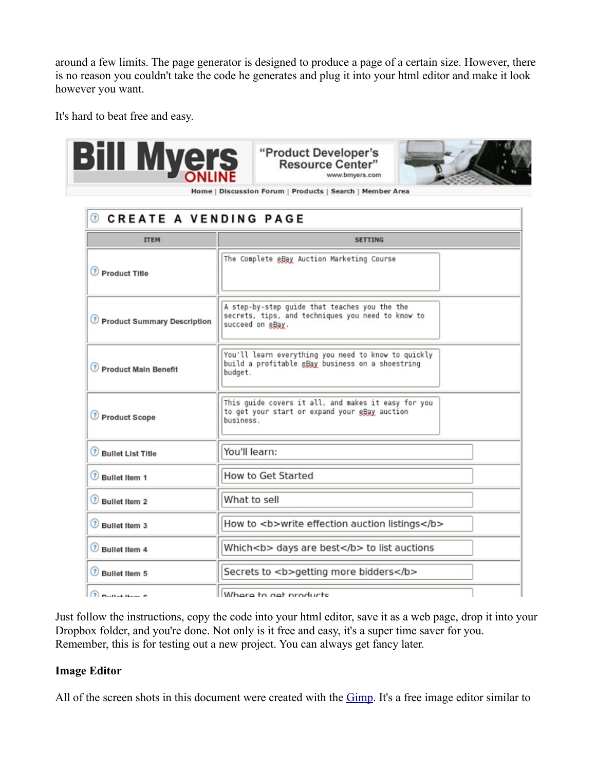around a few limits. The page generator is designed to produce a page of a certain size. However, there is no reason you couldn't take the code he generates and plug it into your html editor and make it look however you want.

It's hard to beat free and easy.



"Product Developer's **Resource Center"** www.bmyers.com



Home | Discussion Forum | Products | Search | Member Area

| <b>CREATE A VENDING PAGE</b><br>☉ |                                                                                                                        |  |
|-----------------------------------|------------------------------------------------------------------------------------------------------------------------|--|
| <b>ITEM</b>                       | <b>SETTING</b>                                                                                                         |  |
| Product Title                     | The Complete eBay Auction Marketing Course                                                                             |  |
| C Product Summary Description     | A step-by-step guide that teaches you the the<br>secrets, tips, and techniques you need to know to<br>succeed on eBay. |  |
| Product Main Benefit              | You'll learn everything you need to know to quickly<br>build a profitable eBay business on a shoestring<br>budget.     |  |
| Product Scope                     | This guide covers it all, and makes it easy for you<br>to get your start or expand your eBay auction<br>business.      |  |
| <b>Bullet List Title</b>          | You'll learn:                                                                                                          |  |
| <b>Bullet Item 1</b>              | <b>How to Get Started</b>                                                                                              |  |
| <b>Bullet Item 2</b>              | What to sell                                                                                                           |  |
| Bullet Item 3                     | How to <b>write effection auction listings</b>                                                                         |  |
| Bullet Item 4                     | Which <b> days are best</b> to list auctions                                                                           |  |
| Bullet Item 5                     | Secrets to <b>getting more bidders</b>                                                                                 |  |
| $\Omega$ put the p                | Where to get products                                                                                                  |  |

Just follow the instructions, copy the code into your html editor, save it as a web page, drop it into your Dropbox folder, and you're done. Not only is it free and easy, it's a super time saver for you. Remember, this is for testing out a new project. You can always get fancy later.

#### **Image Editor**

All of the screen shots in this document were created with the [Gimp.](http://www.gimp.org/) It's a free image editor similar to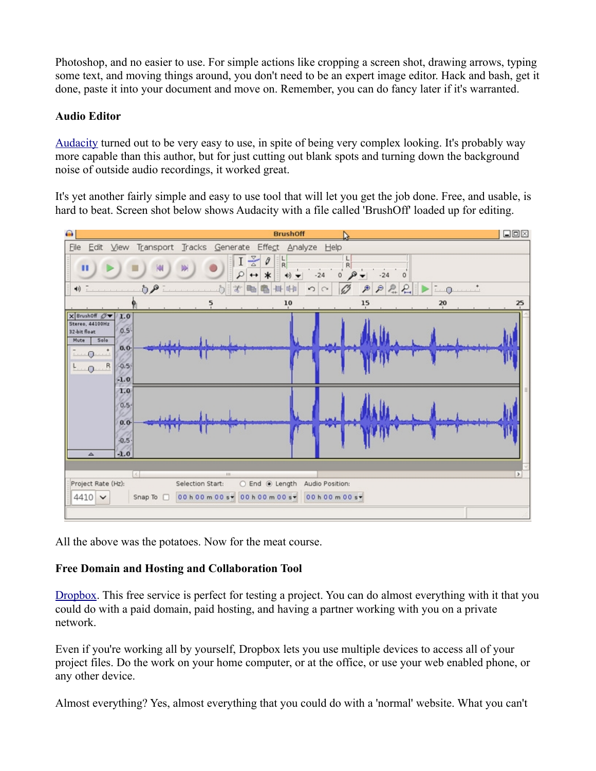Photoshop, and no easier to use. For simple actions like cropping a screen shot, drawing arrows, typing some text, and moving things around, you don't need to be an expert image editor. Hack and bash, get it done, paste it into your document and move on. Remember, you can do fancy later if it's warranted.

# **Audio Editor**

[Audacity](http://audacity.sourceforge.net/) turned out to be very easy to use, in spite of being very complex looking. It's probably way more capable than this author, but for just cutting out blank spots and turning down the background noise of outside audio recordings, it worked great.

It's yet another fairly simple and easy to use tool that will let you get the job done. Free, and usable, is hard to beat. Screen shot below shows Audacity with a file called 'BrushOff' loaded up for editing.



All the above was the potatoes. Now for the meat course.

# **Free Domain and Hosting and Collaboration Tool**

[Dropbox.](http://db.tt/iOvHJlDf) This free service is perfect for testing a project. You can do almost everything with it that you could do with a paid domain, paid hosting, and having a partner working with you on a private network.

Even if you're working all by yourself, Dropbox lets you use multiple devices to access all of your project files. Do the work on your home computer, or at the office, or use your web enabled phone, or any other device.

Almost everything? Yes, almost everything that you could do with a 'normal' website. What you can't